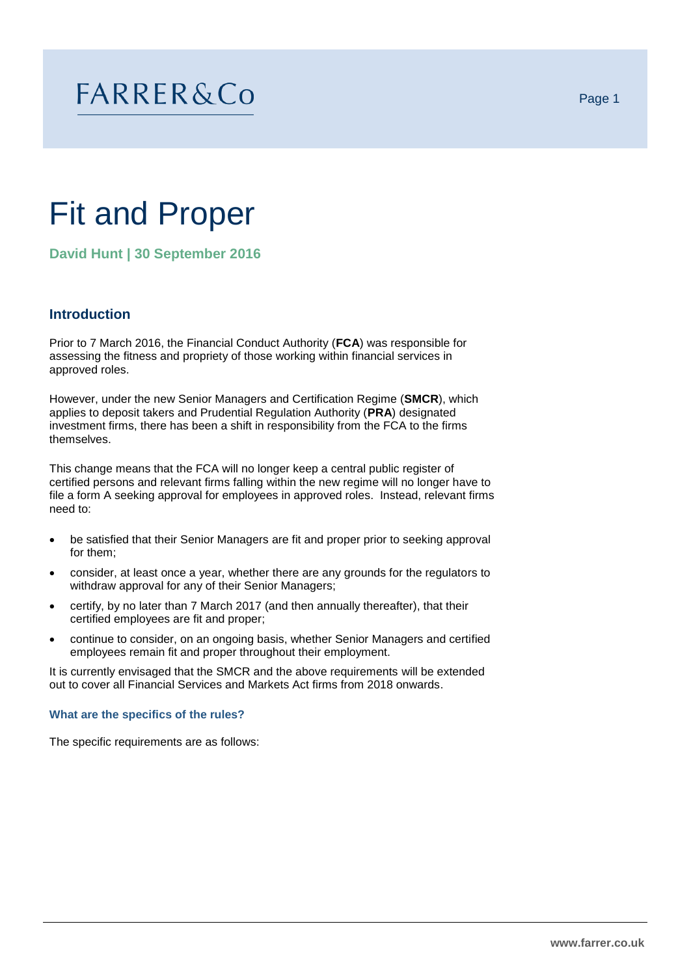# **FARRER&Co**

# Fit and Proper

**David Hunt | 30 September 2016**

# **Introduction**

Prior to 7 March 2016, the Financial Conduct Authority (**FCA**) was responsible for assessing the fitness and propriety of those working within financial services in approved roles.

However, under the new Senior Managers and Certification Regime (**SMCR**), which applies to deposit takers and Prudential Regulation Authority (**PRA**) designated investment firms, there has been a shift in responsibility from the FCA to the firms themselves.

This change means that the FCA will no longer keep a central public register of certified persons and relevant firms falling within the new regime will no longer have to file a form A seeking approval for employees in approved roles. Instead, relevant firms need to:

- be satisfied that their Senior Managers are fit and proper prior to seeking approval for them;
- consider, at least once a year, whether there are any grounds for the regulators to withdraw approval for any of their Senior Managers;
- certify, by no later than 7 March 2017 (and then annually thereafter), that their certified employees are fit and proper;
- continue to consider, on an ongoing basis, whether Senior Managers and certified employees remain fit and proper throughout their employment.

It is currently envisaged that the SMCR and the above requirements will be extended out to cover all Financial Services and Markets Act firms from 2018 onwards.

**What are the specifics of the rules?**

The specific requirements are as follows: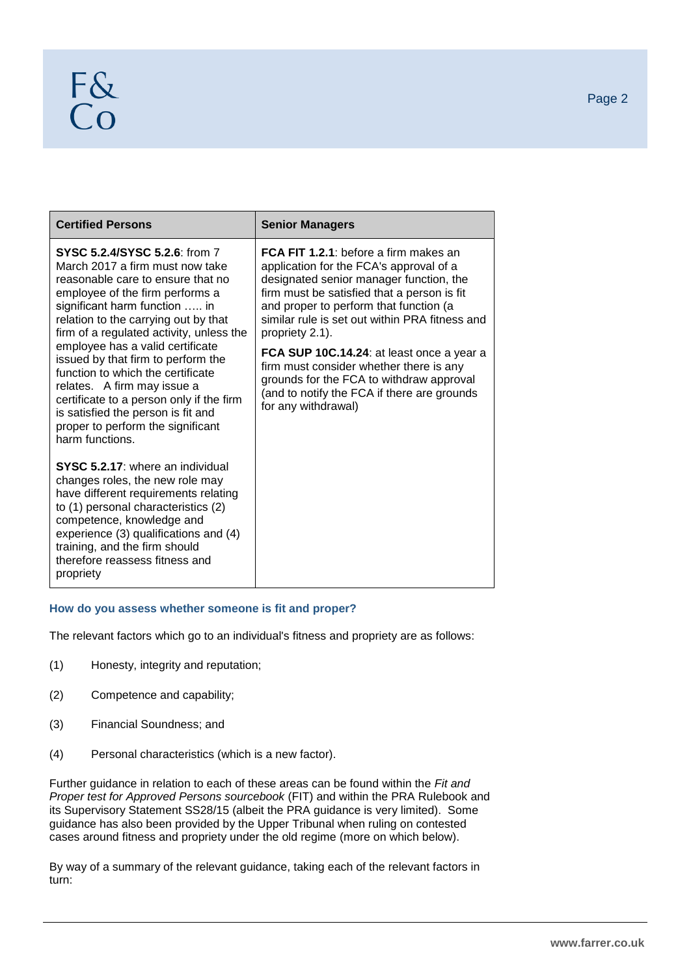| <b>Certified Persons</b>                                                                                                                                                                                                                                                                                                                                                                                                                                                                             | <b>Senior Managers</b>                                                                                                                                                                                                                                                                                                                                                                                                                                                                                     |  |
|------------------------------------------------------------------------------------------------------------------------------------------------------------------------------------------------------------------------------------------------------------------------------------------------------------------------------------------------------------------------------------------------------------------------------------------------------------------------------------------------------|------------------------------------------------------------------------------------------------------------------------------------------------------------------------------------------------------------------------------------------------------------------------------------------------------------------------------------------------------------------------------------------------------------------------------------------------------------------------------------------------------------|--|
| <b>SYSC 5.2.4/SYSC 5.2.6: from 7</b><br>March 2017 a firm must now take<br>reasonable care to ensure that no<br>employee of the firm performs a<br>significant harm function  in<br>relation to the carrying out by that<br>firm of a regulated activity, unless the<br>employee has a valid certificate<br>issued by that firm to perform the<br>function to which the certificate<br>relates. A firm may issue a<br>certificate to a person only if the firm<br>is satisfied the person is fit and | <b>FCA FIT 1.2.1:</b> before a firm makes an<br>application for the FCA's approval of a<br>designated senior manager function, the<br>firm must be satisfied that a person is fit<br>and proper to perform that function (a<br>similar rule is set out within PRA fitness and<br>propriety 2.1).<br>FCA SUP 10C.14.24: at least once a year a<br>firm must consider whether there is any<br>grounds for the FCA to withdraw approval<br>(and to notify the FCA if there are grounds<br>for any withdrawal) |  |
| proper to perform the significant<br>harm functions.                                                                                                                                                                                                                                                                                                                                                                                                                                                 |                                                                                                                                                                                                                                                                                                                                                                                                                                                                                                            |  |
| SYSC 5.2.17: where an individual<br>changes roles, the new role may<br>have different requirements relating<br>to (1) personal characteristics (2)<br>competence, knowledge and<br>experience (3) qualifications and (4)<br>training, and the firm should<br>therefore reassess fitness and<br>propriety                                                                                                                                                                                             |                                                                                                                                                                                                                                                                                                                                                                                                                                                                                                            |  |

# **How do you assess whether someone is fit and proper?**

The relevant factors which go to an individual's fitness and propriety are as follows:

- (1) Honesty, integrity and reputation;
- (2) Competence and capability;
- (3) Financial Soundness; and
- (4) Personal characteristics (which is a new factor).

Further guidance in relation to each of these areas can be found within the *Fit and Proper test for Approved Persons sourcebook* (FIT) and within the PRA Rulebook and its Supervisory Statement SS28/15 (albeit the PRA guidance is very limited). Some guidance has also been provided by the Upper Tribunal when ruling on contested cases around fitness and propriety under the old regime (more on which below).

By way of a summary of the relevant guidance, taking each of the relevant factors in turn: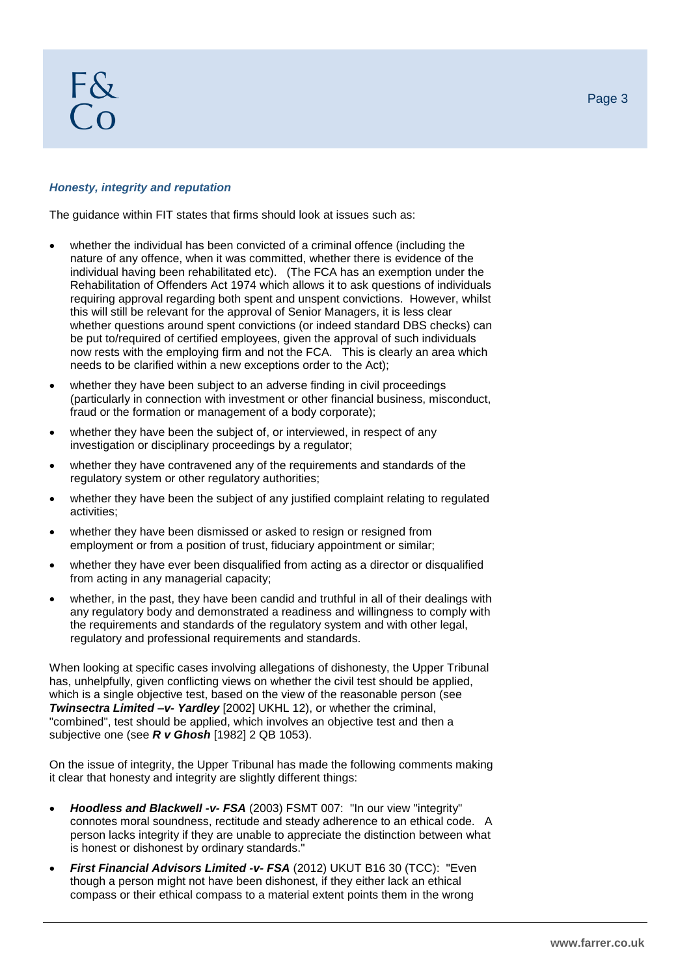# F&  $\overline{C}$

## *Honesty, integrity and reputation*

The guidance within FIT states that firms should look at issues such as:

- whether the individual has been convicted of a criminal offence (including the nature of any offence, when it was committed, whether there is evidence of the individual having been rehabilitated etc). (The FCA has an exemption under the Rehabilitation of Offenders Act 1974 which allows it to ask questions of individuals requiring approval regarding both spent and unspent convictions. However, whilst this will still be relevant for the approval of Senior Managers, it is less clear whether questions around spent convictions (or indeed standard DBS checks) can be put to/required of certified employees, given the approval of such individuals now rests with the employing firm and not the FCA. This is clearly an area which needs to be clarified within a new exceptions order to the Act);
- whether they have been subject to an adverse finding in civil proceedings (particularly in connection with investment or other financial business, misconduct, fraud or the formation or management of a body corporate);
- whether they have been the subject of, or interviewed, in respect of any investigation or disciplinary proceedings by a regulator;
- whether they have contravened any of the requirements and standards of the regulatory system or other regulatory authorities;
- whether they have been the subject of any justified complaint relating to regulated activities;
- whether they have been dismissed or asked to resign or resigned from employment or from a position of trust, fiduciary appointment or similar;
- whether they have ever been disqualified from acting as a director or disqualified from acting in any managerial capacity;
- whether, in the past, they have been candid and truthful in all of their dealings with any regulatory body and demonstrated a readiness and willingness to comply with the requirements and standards of the regulatory system and with other legal, regulatory and professional requirements and standards.

When looking at specific cases involving allegations of dishonesty, the Upper Tribunal has, unhelpfully, given conflicting views on whether the civil test should be applied, which is a single objective test, based on the view of the reasonable person (see *Twinsectra Limited –v- Yardley* [2002] UKHL 12), or whether the criminal, "combined", test should be applied, which involves an objective test and then a subjective one (see *R v Ghosh* [1982] 2 QB 1053).

On the issue of integrity, the Upper Tribunal has made the following comments making it clear that honesty and integrity are slightly different things:

- *Hoodless and Blackwell -v- FSA* (2003) FSMT 007: "In our view "integrity" connotes moral soundness, rectitude and steady adherence to an ethical code. A person lacks integrity if they are unable to appreciate the distinction between what is honest or dishonest by ordinary standards."
- *First Financial Advisors Limited -v- FSA* (2012) UKUT B16 30 (TCC): "Even though a person might not have been dishonest, if they either lack an ethical compass or their ethical compass to a material extent points them in the wrong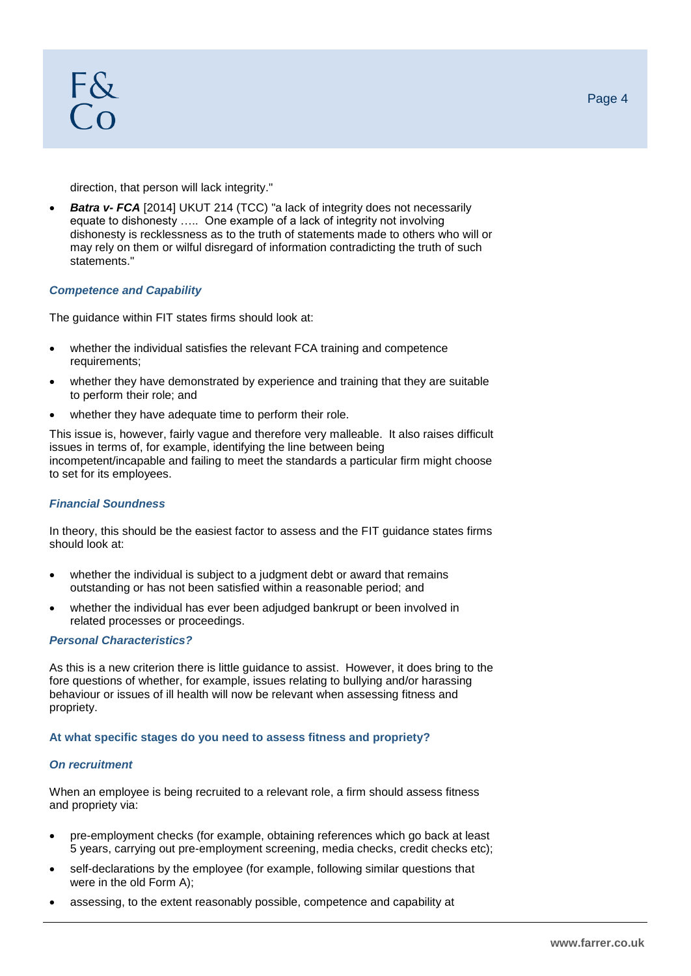F&  $\overline{C}$ 

direction, that person will lack integrity."

*Batra v- FCA* [2014] UKUT 214 (TCC) "a lack of integrity does not necessarily equate to dishonesty ….. One example of a lack of integrity not involving dishonesty is recklessness as to the truth of statements made to others who will or may rely on them or wilful disregard of information contradicting the truth of such statements."

### *Competence and Capability*

The guidance within FIT states firms should look at:

- whether the individual satisfies the relevant FCA training and competence requirements;
- whether they have demonstrated by experience and training that they are suitable to perform their role; and
- whether they have adequate time to perform their role.

This issue is, however, fairly vague and therefore very malleable. It also raises difficult issues in terms of, for example, identifying the line between being incompetent/incapable and failing to meet the standards a particular firm might choose to set for its employees.

#### *Financial Soundness*

In theory, this should be the easiest factor to assess and the FIT guidance states firms should look at:

- whether the individual is subject to a judgment debt or award that remains outstanding or has not been satisfied within a reasonable period; and
- whether the individual has ever been adjudged bankrupt or been involved in related processes or proceedings.

#### *Personal Characteristics?*

As this is a new criterion there is little guidance to assist. However, it does bring to the fore questions of whether, for example, issues relating to bullying and/or harassing behaviour or issues of ill health will now be relevant when assessing fitness and propriety.

#### **At what specific stages do you need to assess fitness and propriety?**

### *On recruitment*

When an employee is being recruited to a relevant role, a firm should assess fitness and propriety via:

- pre-employment checks (for example, obtaining references which go back at least 5 years, carrying out pre-employment screening, media checks, credit checks etc);
- self-declarations by the employee (for example, following similar questions that were in the old Form A);
- assessing, to the extent reasonably possible, competence and capability at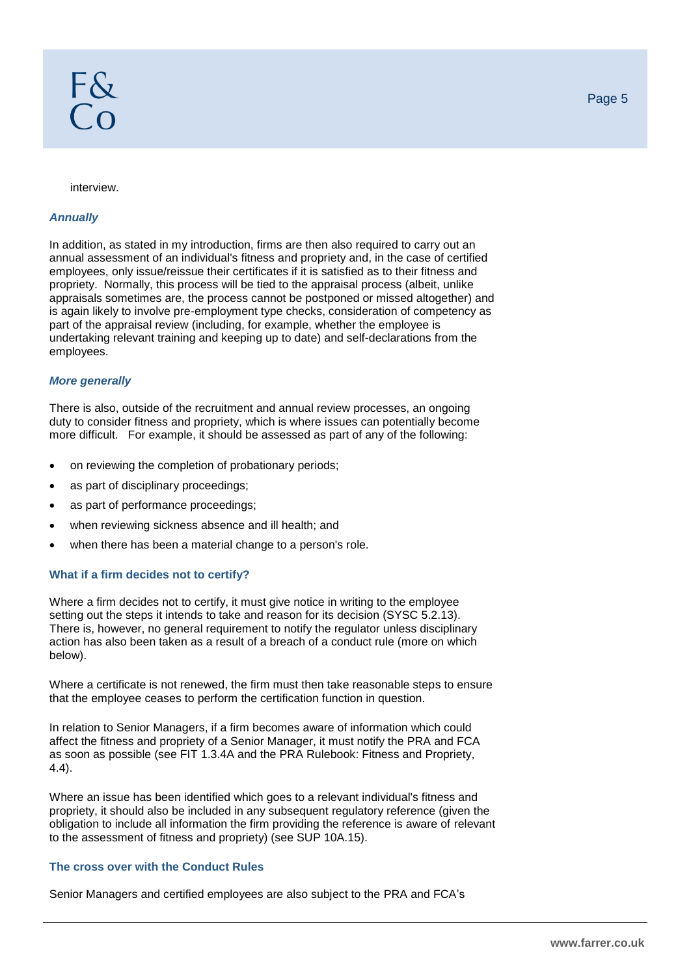#### *Annually*

In addition, as stated in my introduction, firms are then also required to carry out an annual assessment of an individual's fitness and propriety and, in the case of certified employees, only issue/reissue their certificates if it is satisfied as to their fitness and propriety. Normally, this process will be tied to the appraisal process (albeit, unlike appraisals sometimes are, the process cannot be postponed or missed altogether) and is again likely to involve pre-employment type checks, consideration of competency as part of the appraisal review (including, for example, whether the employee is undertaking relevant training and keeping up to date) and self-declarations from the employees.

## *More generally*

There is also, outside of the recruitment and annual review processes, an ongoing duty to consider fitness and propriety, which is where issues can potentially become more difficult. For example, it should be assessed as part of any of the following:

- on reviewing the completion of probationary periods;
- as part of disciplinary proceedings;
- as part of performance proceedings;
- when reviewing sickness absence and ill health; and
- when there has been a material change to a person's role.

### **What if a firm decides not to certify?**

Where a firm decides not to certify, it must give notice in writing to the employee setting out the steps it intends to take and reason for its decision (SYSC 5.2.13). There is, however, no general requirement to notify the regulator unless disciplinary action has also been taken as a result of a breach of a conduct rule (more on which below).

Where a certificate is not renewed, the firm must then take reasonable steps to ensure that the employee ceases to perform the certification function in question.

In relation to Senior Managers, if a firm becomes aware of information which could affect the fitness and propriety of a Senior Manager, it must notify the PRA and FCA as soon as possible (see FIT 1.3.4A and the PRA Rulebook: Fitness and Propriety, 4.4).

Where an issue has been identified which goes to a relevant individual's fitness and propriety, it should also be included in any subsequent regulatory reference (given the obligation to include all information the firm providing the reference is aware of relevant to the assessment of fitness and propriety) (see SUP 10A.15).

#### **The cross over with the Conduct Rules**

Senior Managers and certified employees are also subject to the PRA and FCA's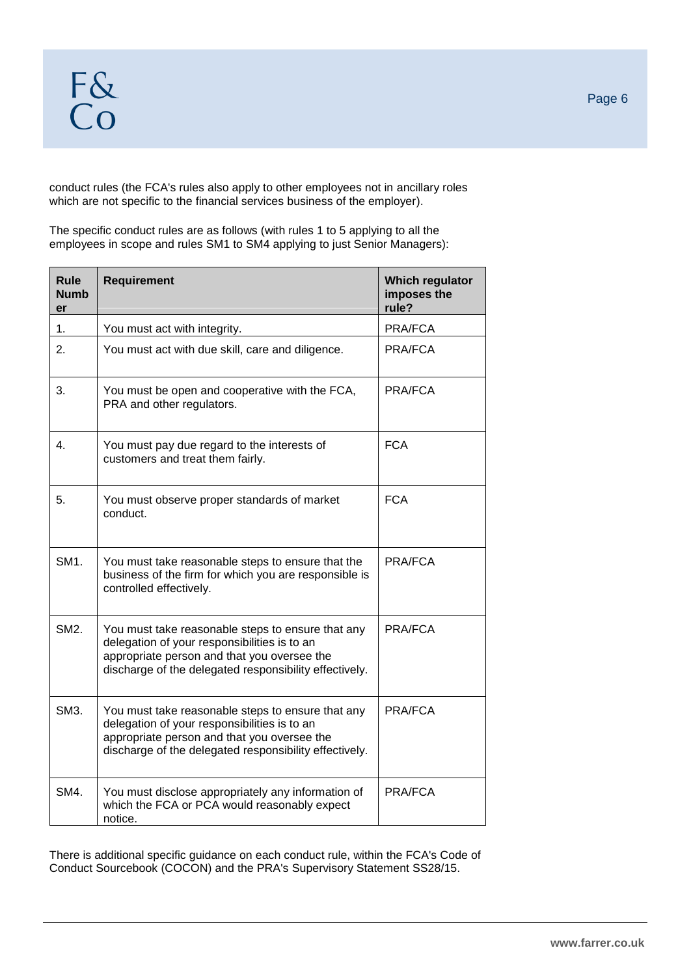conduct rules (the FCA's rules also apply to other employees not in ancillary roles which are not specific to the financial services business of the employer).

The specific conduct rules are as follows (with rules 1 to 5 applying to all the employees in scope and rules SM1 to SM4 applying to just Senior Managers):

| <b>Rule</b><br>Numb<br>er | <b>Requirement</b>                                                                                                                                                                                         | Which regulator<br>imposes the<br>rule? |
|---------------------------|------------------------------------------------------------------------------------------------------------------------------------------------------------------------------------------------------------|-----------------------------------------|
| 1.                        | You must act with integrity.                                                                                                                                                                               | PRA/FCA                                 |
| 2.                        | You must act with due skill, care and diligence.                                                                                                                                                           | PRA/FCA                                 |
| 3.                        | You must be open and cooperative with the FCA,<br>PRA and other regulators.                                                                                                                                | PRA/FCA                                 |
| 4.                        | You must pay due regard to the interests of<br>customers and treat them fairly.                                                                                                                            | <b>FCA</b>                              |
| 5.                        | You must observe proper standards of market<br>conduct.                                                                                                                                                    | <b>FCA</b>                              |
| SM1.                      | You must take reasonable steps to ensure that the<br>business of the firm for which you are responsible is<br>controlled effectively.                                                                      | PRA/FCA                                 |
| SM2.                      | You must take reasonable steps to ensure that any<br>delegation of your responsibilities is to an<br>appropriate person and that you oversee the<br>discharge of the delegated responsibility effectively. | PRA/FCA                                 |
| SM3.                      | You must take reasonable steps to ensure that any<br>delegation of your responsibilities is to an<br>appropriate person and that you oversee the<br>discharge of the delegated responsibility effectively. | PRA/FCA                                 |
| SM4.                      | You must disclose appropriately any information of<br>which the FCA or PCA would reasonably expect<br>notice.                                                                                              | PRA/FCA                                 |

There is additional specific guidance on each conduct rule, within the FCA's Code of Conduct Sourcebook (COCON) and the PRA's Supervisory Statement SS28/15.